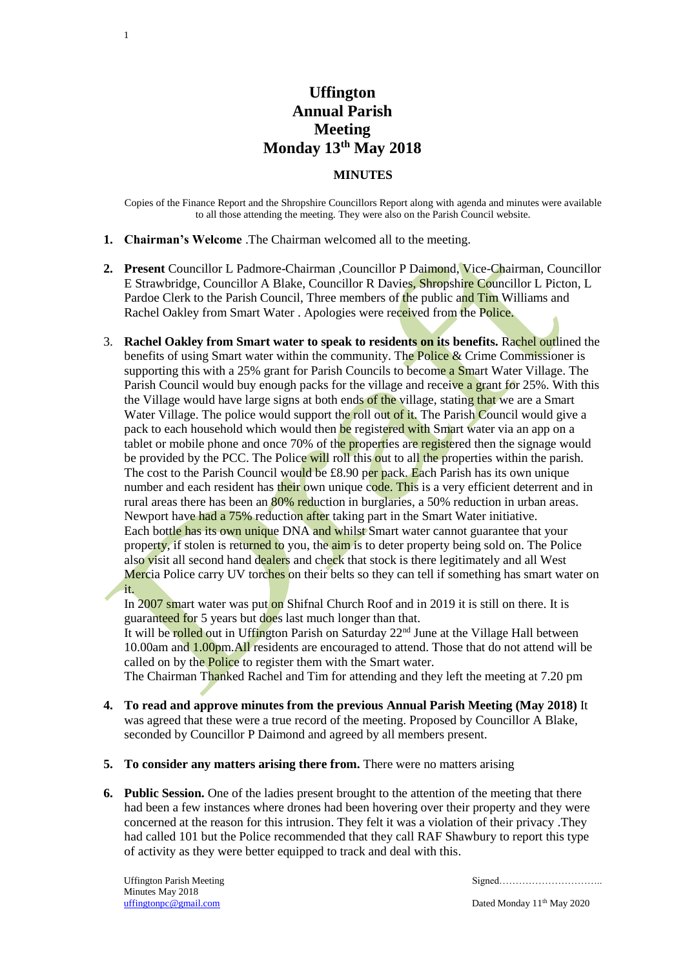## **Uffington Annual Parish Meeting Monday 13th May 2018**

## **MINUTES**

Copies of the Finance Report and the Shropshire Councillors Report along with agenda and minutes were available to all those attending the meeting. They were also on the Parish Council website.

**1. Chairman's Welcome** .The Chairman welcomed all to the meeting.

1

- **2. Present** Councillor L Padmore-Chairman ,Councillor P Daimond, Vice-Chairman, Councillor E Strawbridge, Councillor A Blake, Councillor R Davies, Shropshire Councillor L Picton, L Pardoe Clerk to the Parish Council, Three members of the public and Tim Williams and Rachel Oakley from Smart Water . Apologies were received from the Police.
- 3. **Rachel Oakley from Smart water to speak to residents on its benefits.** Rachel outlined the benefits of using Smart water within the community. The Police & Crime Commissioner is supporting this with a 25% grant for Parish Councils to become a Smart Water Village. The Parish Council would buy enough packs for the village and receive a grant for 25%. With this the Village would have large signs at both ends of the village, stating that we are a Smart Water Village. The police would support the roll out of it. The Parish Council would give a pack to each household which would then be registered with Smart water via an app on a tablet or mobile phone and once 70% of the properties are registered then the signage would be provided by the PCC. The Police will roll this out to all the properties within the parish. The cost to the Parish Council would be  $\pounds 8.90$  per pack. Each Parish has its own unique number and each resident has their own unique code. This is a very efficient deterrent and in rural areas there has been an 80% reduction in burglaries, a 50% reduction in urban areas. Newport have had a 75% reduction after taking part in the Smart Water initiative. Each bottle has its own unique DNA and whilst Smart water cannot guarantee that your property, if stolen is returned to you, the aim is to deter property being sold on. The Police also visit all second hand dealers and check that stock is there legitimately and all West Mercia Police carry UV torches on their belts so they can tell if something has smart water on it.

In 2007 smart water was put on Shifnal Church Roof and in 2019 it is still on there. It is guaranteed for 5 years but does last much longer than that.

It will be rolled out in Uffington Parish on Saturday 22<sup>nd</sup> June at the Village Hall between 10.00am and 1.00pm.All residents are encouraged to attend. Those that do not attend will be called on by the Police to register them with the Smart water.

The Chairman Thanked Rachel and Tim for attending and they left the meeting at 7.20 pm

- **4. To read and approve minutes from the previous Annual Parish Meeting (May 2018)** It was agreed that these were a true record of the meeting. Proposed by Councillor A Blake, seconded by Councillor P Daimond and agreed by all members present.
- **5. To consider any matters arising there from.** There were no matters arising
- **6. Public Session.** One of the ladies present brought to the attention of the meeting that there had been a few instances where drones had been hovering over their property and they were concerned at the reason for this intrusion. They felt it was a violation of their privacy .They had called 101 but the Police recommended that they call RAF Shawbury to report this type of activity as they were better equipped to track and deal with this.

Minutes May 2018

Uffington Parish Meeting Signed…………………………..

[uffingtonpc@gmail.com](mailto:uffingtonpc@gmail.com) Dated Monday 11<sup>th</sup> May 2020